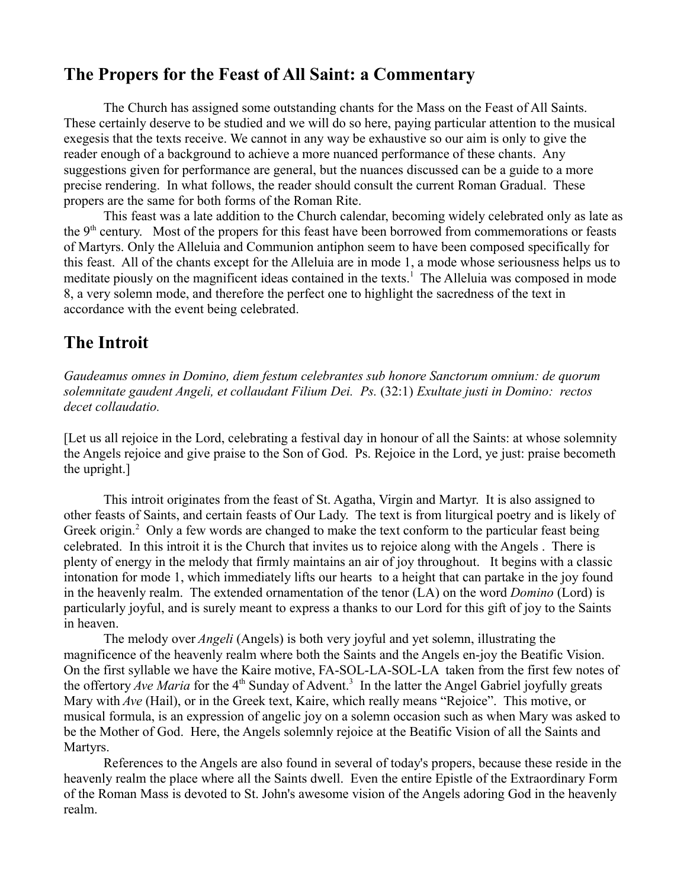#### **The Propers for the Feast of All Saint: a Commentary**

The Church has assigned some outstanding chants for the Mass on the Feast of All Saints. These certainly deserve to be studied and we will do so here, paying particular attention to the musical exegesis that the texts receive. We cannot in any way be exhaustive so our aim is only to give the reader enough of a background to achieve a more nuanced performance of these chants. Any suggestions given for performance are general, but the nuances discussed can be a guide to a more precise rendering. In what follows, the reader should consult the current Roman Gradual. These propers are the same for both forms of the Roman Rite.

This feast was a late addition to the Church calendar, becoming widely celebrated only as late as the 9<sup>th</sup> century. Most of the propers for this feast have been borrowed from commemorations or feasts of Martyrs. Only the Alleluia and Communion antiphon seem to have been composed specifically for this feast. All of the chants except for the Alleluia are in mode 1, a mode whose seriousness helps us to meditate piously on the magnificent ideas contained in the texts.<sup>[1](#page-6-0)</sup> The Alleluia was composed in mode 8, a very solemn mode, and therefore the perfect one to highlight the sacredness of the text in accordance with the event being celebrated.

# **The Introit**

*Gaudeamus omnes in Domino, diem festum celebrantes sub honore Sanctorum omnium: de quorum solemnitate gaudent Angeli, et collaudant Filium Dei. Ps.* (32:1) *Exultate justi in Domino: rectos decet collaudatio.* 

[Let us all rejoice in the Lord, celebrating a festival day in honour of all the Saints: at whose solemnity the Angels rejoice and give praise to the Son of God. Ps. Rejoice in the Lord, ye just: praise becometh the upright.]

This introit originates from the feast of St. Agatha, Virgin and Martyr. It is also assigned to other feasts of Saints, and certain feasts of Our Lady. The text is from liturgical poetry and is likely of Greek origin. $2$  Only a few words are changed to make the text conform to the particular feast being celebrated. In this introit it is the Church that invites us to rejoice along with the Angels . There is plenty of energy in the melody that firmly maintains an air of joy throughout. It begins with a classic intonation for mode 1, which immediately lifts our hearts to a height that can partake in the joy found in the heavenly realm. The extended ornamentation of the tenor (LA) on the word *Domino* (Lord) is particularly joyful, and is surely meant to express a thanks to our Lord for this gift of joy to the Saints in heaven.

The melody over *Angeli* (Angels) is both very joyful and yet solemn, illustrating the magnificence of the heavenly realm where both the Saints and the Angels en-joy the Beatific Vision. On the first syllable we have the Kaire motive, FA-SOL-LA-SOL-LA taken from the first few notes of the offertory *Ave Maria* for the 4<sup>th</sup> Sunday of Advent.<sup>[3](#page-6-2)</sup> In the latter the Angel Gabriel joyfully greats Mary with *Ave* (Hail), or in the Greek text, Kaire, which really means "Rejoice". This motive, or musical formula, is an expression of angelic joy on a solemn occasion such as when Mary was asked to be the Mother of God. Here, the Angels solemnly rejoice at the Beatific Vision of all the Saints and Martyrs.

References to the Angels are also found in several of today's propers, because these reside in the heavenly realm the place where all the Saints dwell. Even the entire Epistle of the Extraordinary Form of the Roman Mass is devoted to St. John's awesome vision of the Angels adoring God in the heavenly realm.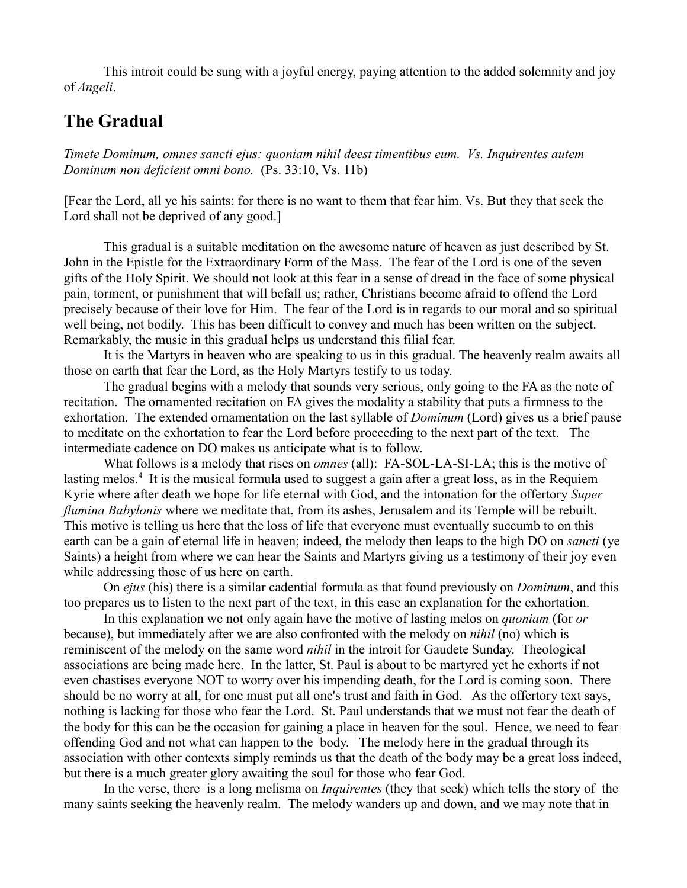This introit could be sung with a joyful energy, paying attention to the added solemnity and joy of *Angeli*.

### **The Gradual**

*Timete Dominum, omnes sancti ejus: quoniam nihil deest timentibus eum. Vs. Inquirentes autem Dominum non deficient omni bono.* (Ps. 33:10, Vs. 11b)

[Fear the Lord, all ye his saints: for there is no want to them that fear him. Vs. But they that seek the Lord shall not be deprived of any good.]

This gradual is a suitable meditation on the awesome nature of heaven as just described by St. John in the Epistle for the Extraordinary Form of the Mass. The fear of the Lord is one of the seven gifts of the Holy Spirit. We should not look at this fear in a sense of dread in the face of some physical pain, torment, or punishment that will befall us; rather, Christians become afraid to offend the Lord precisely because of their love for Him. The fear of the Lord is in regards to our moral and so spiritual well being, not bodily. This has been difficult to convey and much has been written on the subject. Remarkably, the music in this gradual helps us understand this filial fear.

It is the Martyrs in heaven who are speaking to us in this gradual. The heavenly realm awaits all those on earth that fear the Lord, as the Holy Martyrs testify to us today.

The gradual begins with a melody that sounds very serious, only going to the FA as the note of recitation. The ornamented recitation on FA gives the modality a stability that puts a firmness to the exhortation. The extended ornamentation on the last syllable of *Dominum* (Lord) gives us a brief pause to meditate on the exhortation to fear the Lord before proceeding to the next part of the text. The intermediate cadence on DO makes us anticipate what is to follow.

What follows is a melody that rises on *omnes* (all): FA-SOL-LA-SI-LA; this is the motive of lasting melos.<sup>[4](#page-6-3)</sup> It is the musical formula used to suggest a gain after a great loss, as in the Requiem Kyrie where after death we hope for life eternal with God, and the intonation for the offertory *Super flumina Babylonis* where we meditate that, from its ashes, Jerusalem and its Temple will be rebuilt. This motive is telling us here that the loss of life that everyone must eventually succumb to on this earth can be a gain of eternal life in heaven; indeed, the melody then leaps to the high DO on *sancti* (ye Saints) a height from where we can hear the Saints and Martyrs giving us a testimony of their joy even while addressing those of us here on earth.

On *ejus* (his) there is a similar cadential formula as that found previously on *Dominum*, and this too prepares us to listen to the next part of the text, in this case an explanation for the exhortation.

In this explanation we not only again have the motive of lasting melos on *quoniam* (for *or* because), but immediately after we are also confronted with the melody on *nihil* (no) which is reminiscent of the melody on the same word *nihil* in the introit for Gaudete Sunday. Theological associations are being made here. In the latter, St. Paul is about to be martyred yet he exhorts if not even chastises everyone NOT to worry over his impending death, for the Lord is coming soon. There should be no worry at all, for one must put all one's trust and faith in God. As the offertory text says, nothing is lacking for those who fear the Lord. St. Paul understands that we must not fear the death of the body for this can be the occasion for gaining a place in heaven for the soul. Hence, we need to fear offending God and not what can happen to the body. The melody here in the gradual through its association with other contexts simply reminds us that the death of the body may be a great loss indeed, but there is a much greater glory awaiting the soul for those who fear God.

In the verse, there is a long melisma on *Inquirentes* (they that seek) which tells the story of the many saints seeking the heavenly realm. The melody wanders up and down, and we may note that in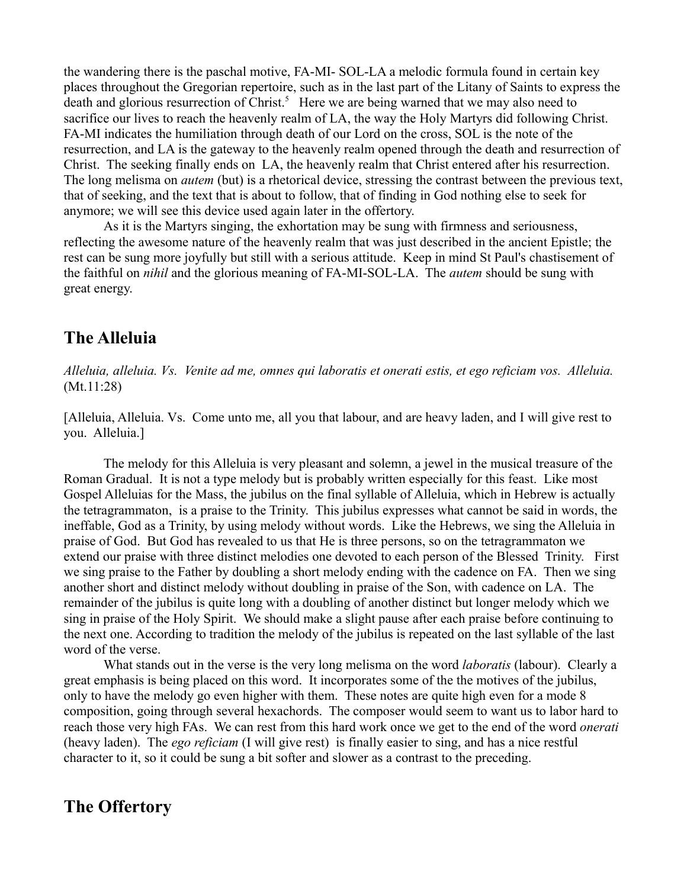the wandering there is the paschal motive, FA-MI- SOL-LA a melodic formula found in certain key places throughout the Gregorian repertoire, such as in the last part of the Litany of Saints to express the death and glorious resurrection of Christ.<sup>[5](#page-6-4)</sup> Here we are being warned that we may also need to sacrifice our lives to reach the heavenly realm of LA, the way the Holy Martyrs did following Christ. FA-MI indicates the humiliation through death of our Lord on the cross, SOL is the note of the resurrection, and LA is the gateway to the heavenly realm opened through the death and resurrection of Christ. The seeking finally ends on LA, the heavenly realm that Christ entered after his resurrection. The long melisma on *autem* (but) is a rhetorical device, stressing the contrast between the previous text, that of seeking, and the text that is about to follow, that of finding in God nothing else to seek for anymore; we will see this device used again later in the offertory.

As it is the Martyrs singing, the exhortation may be sung with firmness and seriousness, reflecting the awesome nature of the heavenly realm that was just described in the ancient Epistle; the rest can be sung more joyfully but still with a serious attitude. Keep in mind St Paul's chastisement of the faithful on *nihil* and the glorious meaning of FA-MI-SOL-LA. The *autem* should be sung with great energy.

#### **The Alleluia**

*Alleluia, alleluia. Vs. Venite ad me, omnes qui laboratis et onerati estis, et ego reficiam vos. Alleluia.* (Mt.11:28)

[Alleluia, Alleluia. Vs. Come unto me, all you that labour, and are heavy laden, and I will give rest to you. Alleluia.]

The melody for this Alleluia is very pleasant and solemn, a jewel in the musical treasure of the Roman Gradual. It is not a type melody but is probably written especially for this feast. Like most Gospel Alleluias for the Mass, the jubilus on the final syllable of Alleluia, which in Hebrew is actually the tetragrammaton, is a praise to the Trinity. This jubilus expresses what cannot be said in words, the ineffable, God as a Trinity, by using melody without words. Like the Hebrews, we sing the Alleluia in praise of God. But God has revealed to us that He is three persons, so on the tetragrammaton we extend our praise with three distinct melodies one devoted to each person of the Blessed Trinity. First we sing praise to the Father by doubling a short melody ending with the cadence on FA. Then we sing another short and distinct melody without doubling in praise of the Son, with cadence on LA. The remainder of the jubilus is quite long with a doubling of another distinct but longer melody which we sing in praise of the Holy Spirit. We should make a slight pause after each praise before continuing to the next one. According to tradition the melody of the jubilus is repeated on the last syllable of the last word of the verse.

What stands out in the verse is the very long melisma on the word *laboratis* (labour). Clearly a great emphasis is being placed on this word. It incorporates some of the the motives of the jubilus, only to have the melody go even higher with them. These notes are quite high even for a mode 8 composition, going through several hexachords. The composer would seem to want us to labor hard to reach those very high FAs. We can rest from this hard work once we get to the end of the word *onerati* (heavy laden). The *ego reficiam* (I will give rest) is finally easier to sing, and has a nice restful character to it, so it could be sung a bit softer and slower as a contrast to the preceding.

## **The Offertory**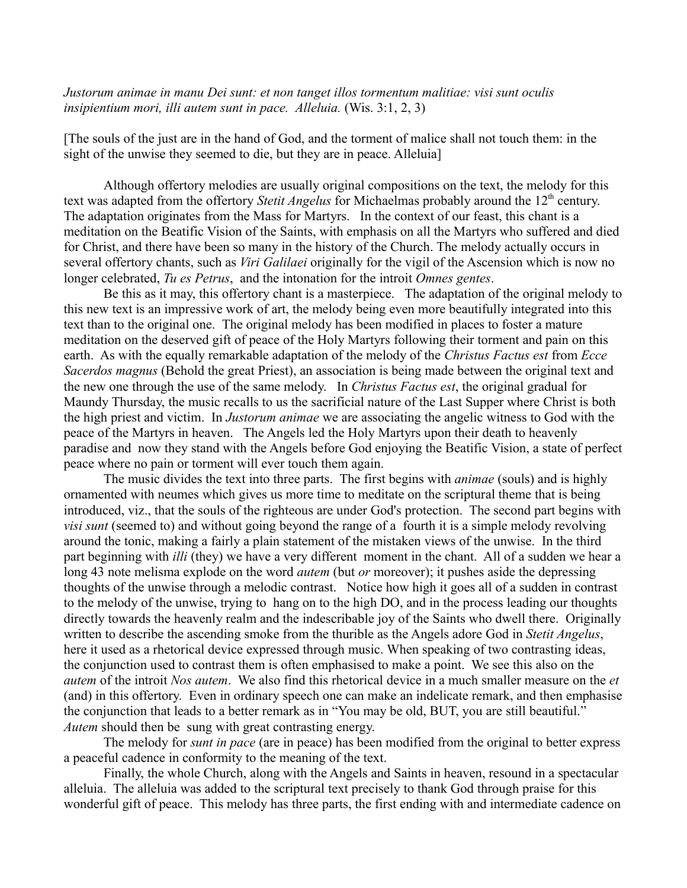*Justorum animae in manu Dei sunt: et non tanget illos tormentum malitiae: visi sunt oculis insipientium mori, illi autem sunt in pace. Alleluia.* (Wis. 3:1, 2, 3)

[The souls of the just are in the hand of God, and the torment of malice shall not touch them: in the sight of the unwise they seemed to die, but they are in peace. Alleluia]

Although offertory melodies are usually original compositions on the text, the melody for this text was adapted from the offertory *Stetit Angelus* for Michaelmas probably around the 12<sup>th</sup> century. The adaptation originates from the Mass for Martyrs. In the context of our feast, this chant is a meditation on the Beatific Vision of the Saints, with emphasis on all the Martyrs who suffered and died for Christ, and there have been so many in the history of the Church. The melody actually occurs in several offertory chants, such as *Viri Galilaei* originally for the vigil of the Ascension which is now no longer celebrated, *Tu es Petrus*, and the intonation for the introit *Omnes gentes*.

Be this as it may, this offertory chant is a masterpiece. The adaptation of the original melody to this new text is an impressive work of art, the melody being even more beautifully integrated into this text than to the original one. The original melody has been modified in places to foster a mature meditation on the deserved gift of peace of the Holy Martyrs following their torment and pain on this earth. As with the equally remarkable adaptation of the melody of the *Christus Factus est* from *Ecce Sacerdos magnus* (Behold the great Priest), an association is being made between the original text and the new one through the use of the same melody. In *Christus Factus est*, the original gradual for Maundy Thursday, the music recalls to us the sacrificial nature of the Last Supper where Christ is both the high priest and victim. In *Justorum animae* we are associating the angelic witness to God with the peace of the Martyrs in heaven. The Angels led the Holy Martyrs upon their death to heavenly paradise and now they stand with the Angels before God enjoying the Beatific Vision, a state of perfect peace where no pain or torment will ever touch them again.

The music divides the text into three parts. The first begins with *animae* (souls) and is highly ornamented with neumes which gives us more time to meditate on the scriptural theme that is being introduced, viz., that the souls of the righteous are under God's protection. The second part begins with *visi sunt* (seemed to) and without going beyond the range of a fourth it is a simple melody revolving around the tonic, making a fairly a plain statement of the mistaken views of the unwise. In the third part beginning with *illi* (they) we have a very different moment in the chant. All of a sudden we hear a long 43 note melisma explode on the word *autem* (but *or* moreover); it pushes aside the depressing thoughts of the unwise through a melodic contrast. Notice how high it goes all of a sudden in contrast to the melody of the unwise, trying to hang on to the high DO, and in the process leading our thoughts directly towards the heavenly realm and the indescribable joy of the Saints who dwell there. Originally written to describe the ascending smoke from the thurible as the Angels adore God in *Stetit Angelus*, here it used as a rhetorical device expressed through music. When speaking of two contrasting ideas, the conjunction used to contrast them is often emphasised to make a point. We see this also on the *autem* of the introit *Nos autem*. We also find this rhetorical device in a much smaller measure on the *et* (and) in this offertory. Even in ordinary speech one can make an indelicate remark, and then emphasise the conjunction that leads to a better remark as in "You may be old, BUT, you are still beautiful." *Autem* should then be sung with great contrasting energy.

The melody for *sunt in pace* (are in peace) has been modified from the original to better express a peaceful cadence in conformity to the meaning of the text.

Finally, the whole Church, along with the Angels and Saints in heaven, resound in a spectacular alleluia. The alleluia was added to the scriptural text precisely to thank God through praise for this wonderful gift of peace. This melody has three parts, the first ending with and intermediate cadence on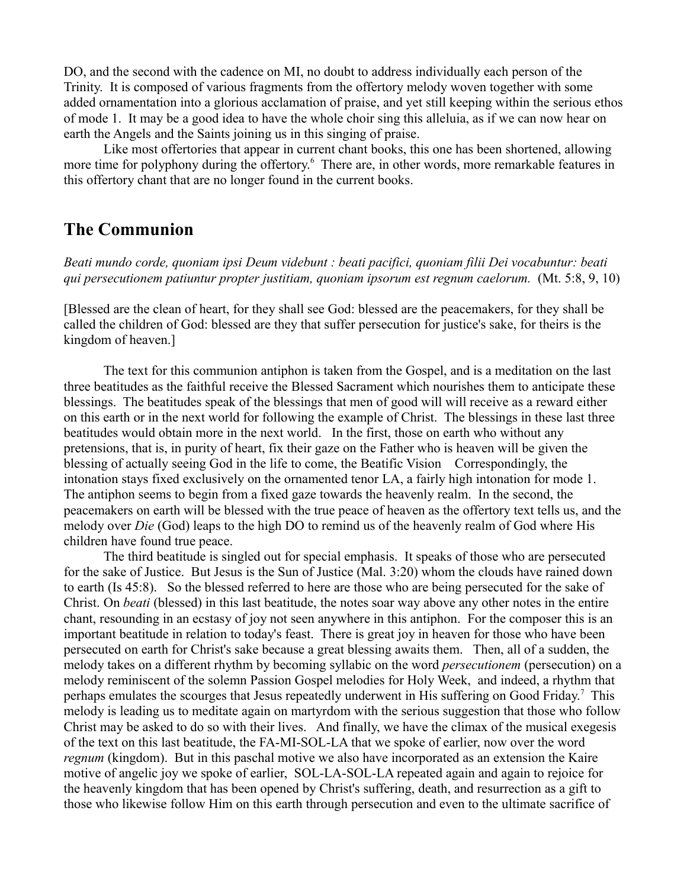DO, and the second with the cadence on MI, no doubt to address individually each person of the Trinity. It is composed of various fragments from the offertory melody woven together with some added ornamentation into a glorious acclamation of praise, and yet still keeping within the serious ethos of mode 1. It may be a good idea to have the whole choir sing this alleluia, as if we can now hear on earth the Angels and the Saints joining us in this singing of praise.

Like most offertories that appear in current chant books, this one has been shortened, allowing more time for polyphony during the offertory.<sup>[6](#page-6-5)</sup> There are, in other words, more remarkable features in this offertory chant that are no longer found in the current books.

#### **The Communion**

*Beati mundo corde, quoniam ipsi Deum videbunt : beati pacifici, quoniam filii Dei vocabuntur: beati qui persecutionem patiuntur propter justitiam, quoniam ipsorum est regnum caelorum.* (Mt. 5:8, 9, 10)

[Blessed are the clean of heart, for they shall see God: blessed are the peacemakers, for they shall be called the children of God: blessed are they that suffer persecution for justice's sake, for theirs is the kingdom of heaven.]

The text for this communion antiphon is taken from the Gospel, and is a meditation on the last three beatitudes as the faithful receive the Blessed Sacrament which nourishes them to anticipate these blessings. The beatitudes speak of the blessings that men of good will will receive as a reward either on this earth or in the next world for following the example of Christ. The blessings in these last three beatitudes would obtain more in the next world. In the first, those on earth who without any pretensions, that is, in purity of heart, fix their gaze on the Father who is heaven will be given the blessing of actually seeing God in the life to come, the Beatific Vision Correspondingly, the intonation stays fixed exclusively on the ornamented tenor LA, a fairly high intonation for mode 1. The antiphon seems to begin from a fixed gaze towards the heavenly realm. In the second, the peacemakers on earth will be blessed with the true peace of heaven as the offertory text tells us, and the melody over *Die* (God) leaps to the high DO to remind us of the heavenly realm of God where His children have found true peace.

The third beatitude is singled out for special emphasis. It speaks of those who are persecuted for the sake of Justice. But Jesus is the Sun of Justice (Mal. 3:20) whom the clouds have rained down to earth (Is 45:8). So the blessed referred to here are those who are being persecuted for the sake of Christ. On *beati* (blessed) in this last beatitude, the notes soar way above any other notes in the entire chant, resounding in an ecstasy of joy not seen anywhere in this antiphon. For the composer this is an important beatitude in relation to today's feast. There is great joy in heaven for those who have been persecuted on earth for Christ's sake because a great blessing awaits them. Then, all of a sudden, the melody takes on a different rhythm by becoming syllabic on the word *persecutionem* (persecution) on a melody reminiscent of the solemn Passion Gospel melodies for Holy Week, and indeed, a rhythm that perhaps emulates the scourges that Jesus repeatedly underwent in His suffering on Good Friday.<sup>[7](#page-6-6)</sup> This melody is leading us to meditate again on martyrdom with the serious suggestion that those who follow Christ may be asked to do so with their lives. And finally, we have the climax of the musical exegesis of the text on this last beatitude, the FA-MI-SOL-LA that we spoke of earlier, now over the word *regnum* (kingdom). But in this paschal motive we also have incorporated as an extension the Kaire motive of angelic joy we spoke of earlier, SOL-LA-SOL-LA repeated again and again to rejoice for the heavenly kingdom that has been opened by Christ's suffering, death, and resurrection as a gift to those who likewise follow Him on this earth through persecution and even to the ultimate sacrifice of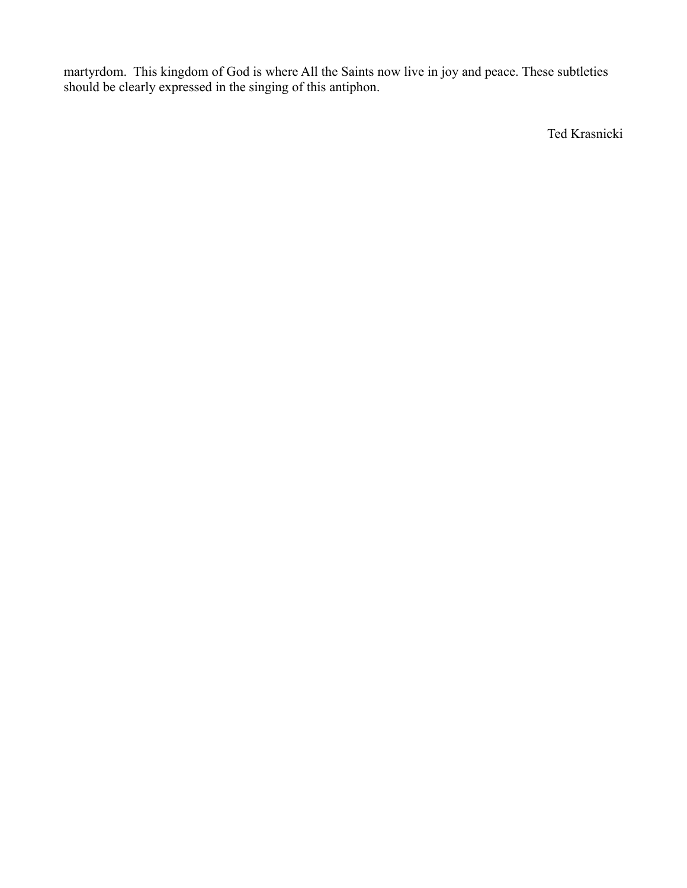martyrdom. This kingdom of God is where All the Saints now live in joy and peace. These subtleties should be clearly expressed in the singing of this antiphon.

Ted Krasnicki